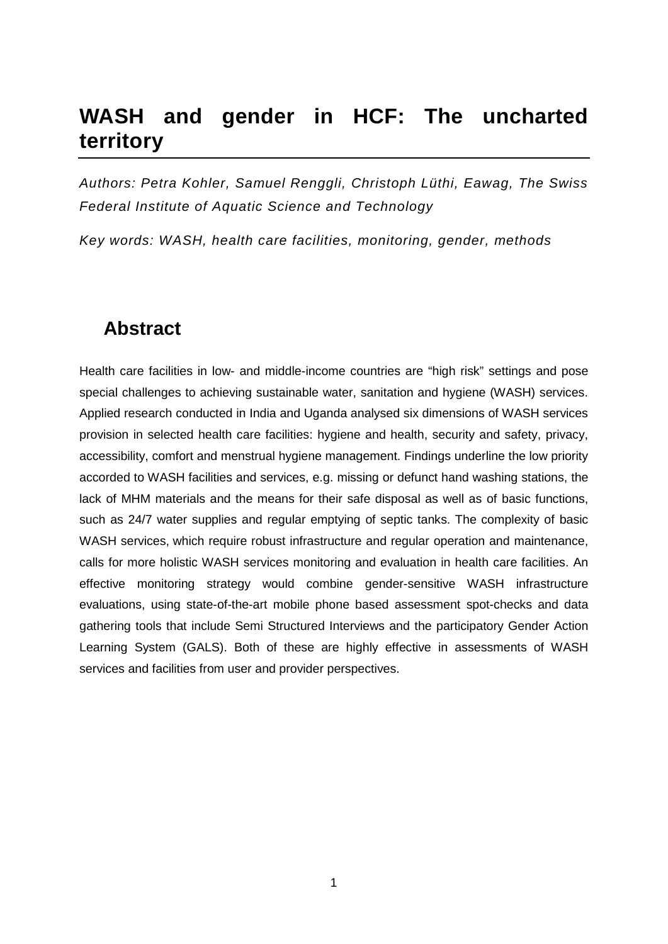# **WASH and gender in HCF: The uncharted territory**

*Authors: Petra Kohler, Samuel Renggli, Christoph Lüthi, Eawag, The Swiss Federal Institute of Aquatic Science and Technology*

*Key words: WASH, health care facilities, monitoring, gender, methods*

#### **Abstract**

Health care facilities in low- and middle-income countries are "high risk" settings and pose special challenges to achieving sustainable water, sanitation and hygiene (WASH) services. Applied research conducted in India and Uganda analysed six dimensions of WASH services provision in selected health care facilities: hygiene and health, security and safety, privacy, accessibility, comfort and menstrual hygiene management. Findings underline the low priority accorded to WASH facilities and services, e.g. missing or defunct hand washing stations, the lack of MHM materials and the means for their safe disposal as well as of basic functions, such as 24/7 water supplies and regular emptying of septic tanks. The complexity of basic WASH services, which require robust infrastructure and regular operation and maintenance, calls for more holistic WASH services monitoring and evaluation in health care facilities. An effective monitoring strategy would combine gender-sensitive WASH infrastructure evaluations, using state-of-the-art mobile phone based assessment spot-checks and data gathering tools that include Semi Structured Interviews and the participatory Gender Action Learning System (GALS). Both of these are highly effective in assessments of WASH services and facilities from user and provider perspectives.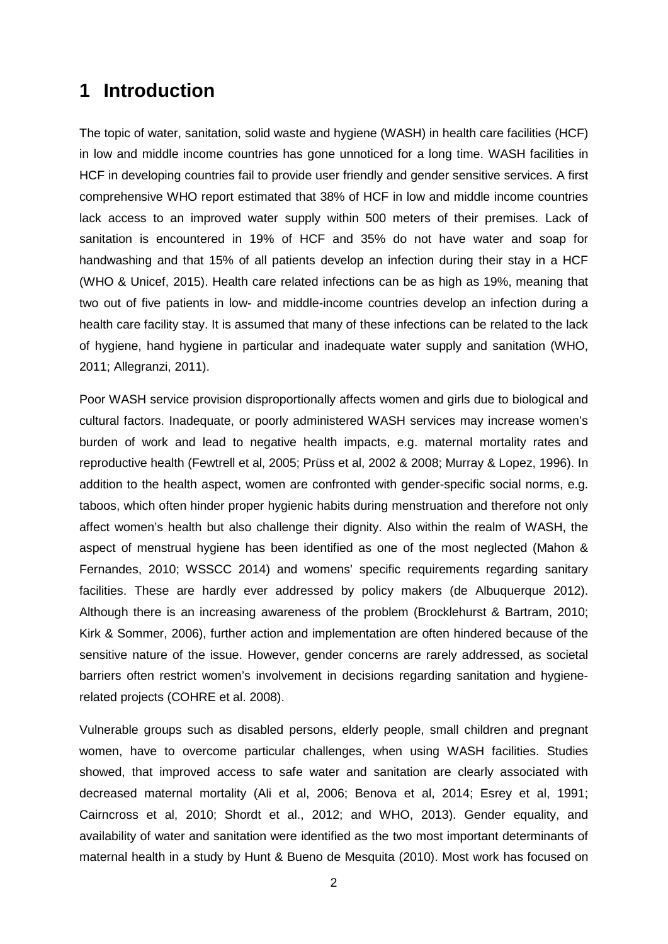#### **1 Introduction**

The topic of water, sanitation, solid waste and hygiene (WASH) in health care facilities (HCF) in low and middle income countries has gone unnoticed for a long time. WASH facilities in HCF in developing countries fail to provide user friendly and gender sensitive services. A first comprehensive WHO report estimated that 38% of HCF in low and middle income countries lack access to an improved water supply within 500 meters of their premises. Lack of sanitation is encountered in 19% of HCF and 35% do not have water and soap for handwashing and that 15% of all patients develop an infection during their stay in a HCF (WHO & Unicef, 2015). Health care related infections can be as high as 19%, meaning that two out of five patients in low- and middle-income countries develop an infection during a health care facility stay. It is assumed that many of these infections can be related to the lack of hygiene, hand hygiene in particular and inadequate water supply and sanitation (WHO, 2011; Allegranzi, 2011).

Poor WASH service provision disproportionally affects women and girls due to biological and cultural factors. Inadequate, or poorly administered WASH services may increase women's burden of work and lead to negative health impacts, e.g. maternal mortality rates and reproductive health (Fewtrell et al, 2005; Prüss et al, 2002 & 2008; Murray & Lopez, 1996). In addition to the health aspect, women are confronted with gender-specific social norms, e.g. taboos, which often hinder proper hygienic habits during menstruation and therefore not only affect women's health but also challenge their dignity. Also within the realm of WASH, the aspect of menstrual hygiene has been identified as one of the most neglected (Mahon & Fernandes, 2010; WSSCC 2014) and womens' specific requirements regarding sanitary facilities. These are hardly ever addressed by policy makers (de Albuquerque 2012). Although there is an increasing awareness of the problem (Brocklehurst & Bartram, 2010; Kirk & Sommer, 2006), further action and implementation are often hindered because of the sensitive nature of the issue. However, gender concerns are rarely addressed, as societal barriers often restrict women's involvement in decisions regarding sanitation and hygienerelated projects (COHRE et al. 2008).

Vulnerable groups such as disabled persons, elderly people, small children and pregnant women, have to overcome particular challenges, when using WASH facilities. Studies showed, that improved access to safe water and sanitation are clearly associated with decreased maternal mortality (Ali et al, 2006; Benova et al, 2014; Esrey et al, 1991; Cairncross et al, 2010; Shordt et al., 2012; and WHO, 2013). Gender equality, and availability of water and sanitation were identified as the two most important determinants of maternal health in a study by Hunt & Bueno de Mesquita (2010). Most work has focused on

2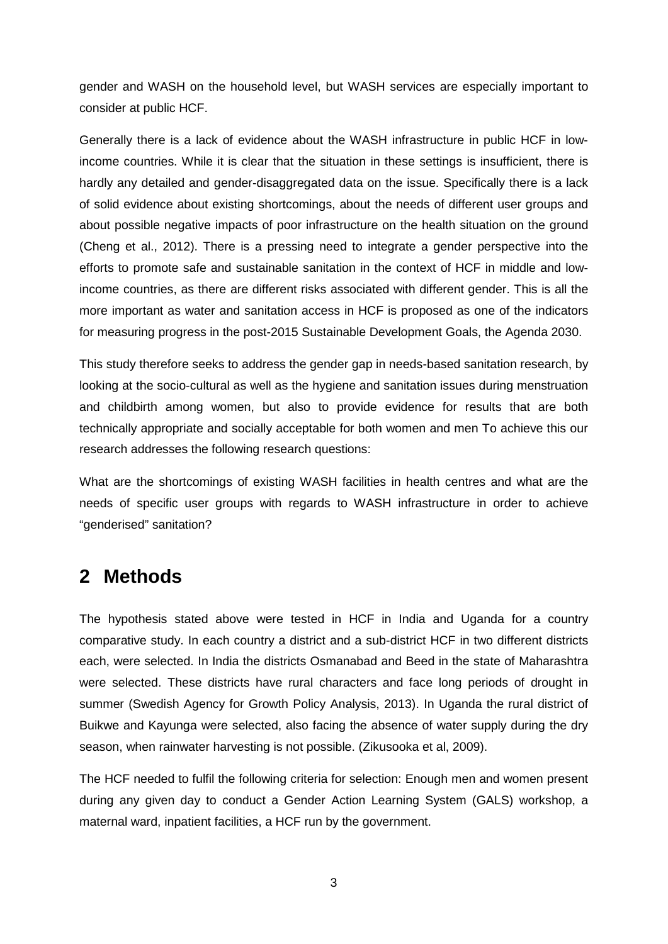gender and WASH on the household level, but WASH services are especially important to consider at public HCF.

Generally there is a lack of evidence about the WASH infrastructure in public HCF in lowincome countries. While it is clear that the situation in these settings is insufficient, there is hardly any detailed and gender-disaggregated data on the issue. Specifically there is a lack of solid evidence about existing shortcomings, about the needs of different user groups and about possible negative impacts of poor infrastructure on the health situation on the ground (Cheng et al., 2012). There is a pressing need to integrate a gender perspective into the efforts to promote safe and sustainable sanitation in the context of HCF in middle and lowincome countries, as there are different risks associated with different gender. This is all the more important as water and sanitation access in HCF is proposed as one of the indicators for measuring progress in the post-2015 Sustainable Development Goals, the Agenda 2030.

This study therefore seeks to address the gender gap in needs-based sanitation research, by looking at the socio-cultural as well as the hygiene and sanitation issues during menstruation and childbirth among women, but also to provide evidence for results that are both technically appropriate and socially acceptable for both women and men To achieve this our research addresses the following research questions:

What are the shortcomings of existing WASH facilities in health centres and what are the needs of specific user groups with regards to WASH infrastructure in order to achieve "genderised" sanitation?

# **2 Methods**

The hypothesis stated above were tested in HCF in India and Uganda for a country comparative study. In each country a district and a sub-district HCF in two different districts each, were selected. In India the districts Osmanabad and Beed in the state of Maharashtra were selected. These districts have rural characters and face long periods of drought in summer (Swedish Agency for Growth Policy Analysis, 2013). In Uganda the rural district of Buikwe and Kayunga were selected, also facing the absence of water supply during the dry season, when rainwater harvesting is not possible. (Zikusooka et al, 2009).

The HCF needed to fulfil the following criteria for selection: Enough men and women present during any given day to conduct a Gender Action Learning System (GALS) workshop, a maternal ward, inpatient facilities, a HCF run by the government.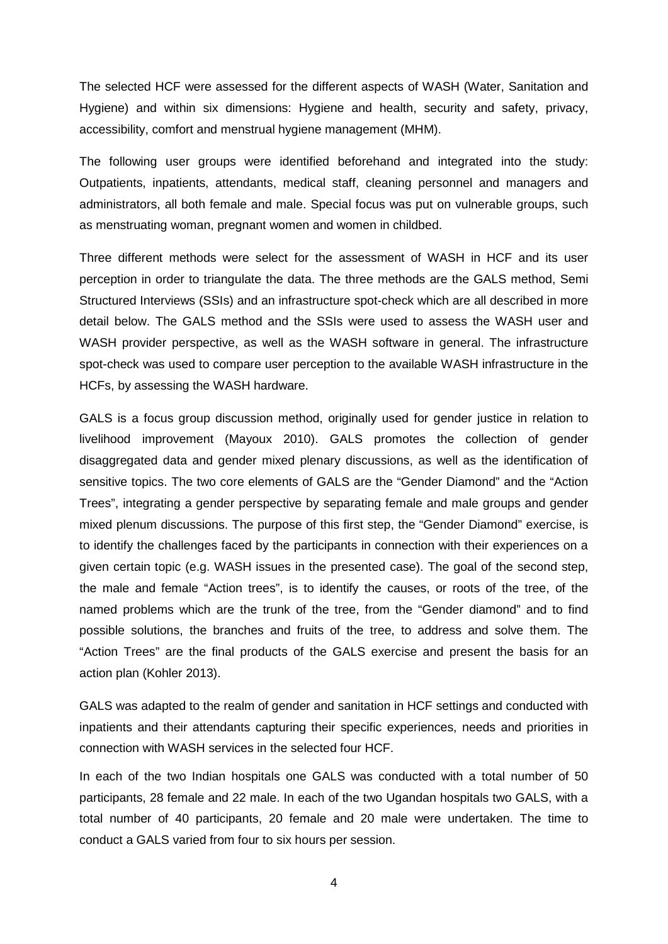The selected HCF were assessed for the different aspects of WASH (Water, Sanitation and Hygiene) and within six dimensions: Hygiene and health, security and safety, privacy, accessibility, comfort and menstrual hygiene management (MHM).

The following user groups were identified beforehand and integrated into the study: Outpatients, inpatients, attendants, medical staff, cleaning personnel and managers and administrators, all both female and male. Special focus was put on vulnerable groups, such as menstruating woman, pregnant women and women in childbed.

Three different methods were select for the assessment of WASH in HCF and its user perception in order to triangulate the data. The three methods are the GALS method, Semi Structured Interviews (SSIs) and an infrastructure spot-check which are all described in more detail below. The GALS method and the SSIs were used to assess the WASH user and WASH provider perspective, as well as the WASH software in general. The infrastructure spot-check was used to compare user perception to the available WASH infrastructure in the HCFs, by assessing the WASH hardware.

GALS is a focus group discussion method, originally used for gender justice in relation to livelihood improvement (Mayoux 2010). GALS promotes the collection of gender disaggregated data and gender mixed plenary discussions, as well as the identification of sensitive topics. The two core elements of GALS are the "Gender Diamond" and the "Action Trees", integrating a gender perspective by separating female and male groups and gender mixed plenum discussions. The purpose of this first step, the "Gender Diamond" exercise, is to identify the challenges faced by the participants in connection with their experiences on a given certain topic (e.g. WASH issues in the presented case). The goal of the second step, the male and female "Action trees", is to identify the causes, or roots of the tree, of the named problems which are the trunk of the tree, from the "Gender diamond" and to find possible solutions, the branches and fruits of the tree, to address and solve them. The "Action Trees" are the final products of the GALS exercise and present the basis for an action plan (Kohler 2013).

GALS was adapted to the realm of gender and sanitation in HCF settings and conducted with inpatients and their attendants capturing their specific experiences, needs and priorities in connection with WASH services in the selected four HCF.

In each of the two Indian hospitals one GALS was conducted with a total number of 50 participants, 28 female and 22 male. In each of the two Ugandan hospitals two GALS, with a total number of 40 participants, 20 female and 20 male were undertaken. The time to conduct a GALS varied from four to six hours per session.

4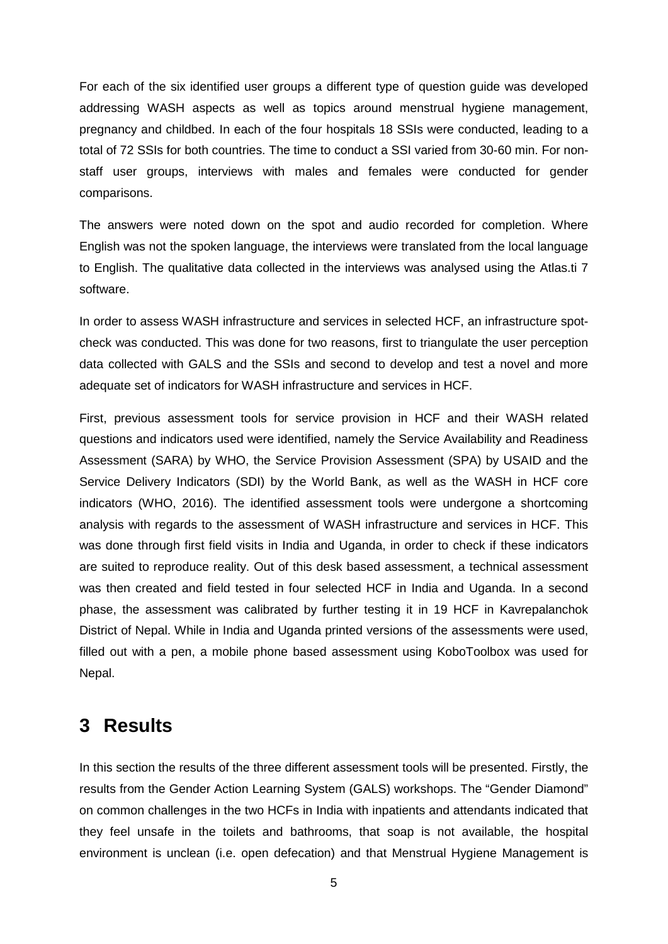For each of the six identified user groups a different type of question guide was developed addressing WASH aspects as well as topics around menstrual hygiene management, pregnancy and childbed. In each of the four hospitals 18 SSIs were conducted, leading to a total of 72 SSIs for both countries. The time to conduct a SSI varied from 30-60 min. For nonstaff user groups, interviews with males and females were conducted for gender comparisons.

The answers were noted down on the spot and audio recorded for completion. Where English was not the spoken language, the interviews were translated from the local language to English. The qualitative data collected in the interviews was analysed using the Atlas.ti 7 software.

In order to assess WASH infrastructure and services in selected HCF, an infrastructure spotcheck was conducted. This was done for two reasons, first to triangulate the user perception data collected with GALS and the SSIs and second to develop and test a novel and more adequate set of indicators for WASH infrastructure and services in HCF.

First, previous assessment tools for service provision in HCF and their WASH related questions and indicators used were identified, namely the Service Availability and Readiness Assessment (SARA) by WHO, the Service Provision Assessment (SPA) by USAID and the Service Delivery Indicators (SDI) by the World Bank, as well as the WASH in HCF core indicators (WHO, 2016). The identified assessment tools were undergone a shortcoming analysis with regards to the assessment of WASH infrastructure and services in HCF. This was done through first field visits in India and Uganda, in order to check if these indicators are suited to reproduce reality. Out of this desk based assessment, a technical assessment was then created and field tested in four selected HCF in India and Uganda. In a second phase, the assessment was calibrated by further testing it in 19 HCF in Kavrepalanchok District of Nepal. While in India and Uganda printed versions of the assessments were used, filled out with a pen, a mobile phone based assessment using KoboToolbox was used for Nepal.

#### **3 Results**

In this section the results of the three different assessment tools will be presented. Firstly, the results from the Gender Action Learning System (GALS) workshops. The "Gender Diamond" on common challenges in the two HCFs in India with inpatients and attendants indicated that they feel unsafe in the toilets and bathrooms, that soap is not available, the hospital environment is unclean (i.e. open defecation) and that Menstrual Hygiene Management is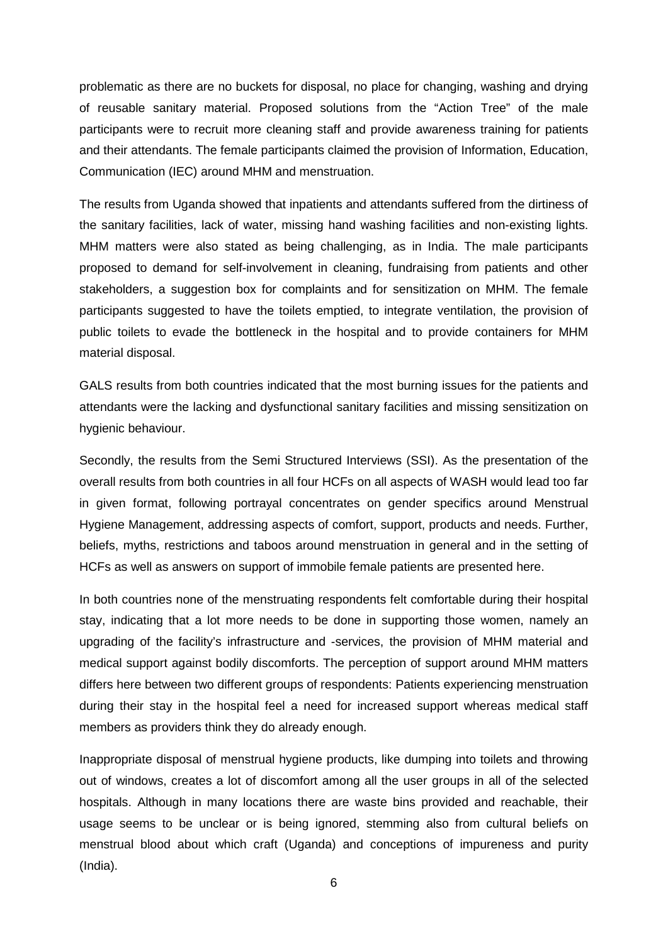problematic as there are no buckets for disposal, no place for changing, washing and drying of reusable sanitary material. Proposed solutions from the "Action Tree" of the male participants were to recruit more cleaning staff and provide awareness training for patients and their attendants. The female participants claimed the provision of Information, Education, Communication (IEC) around MHM and menstruation.

The results from Uganda showed that inpatients and attendants suffered from the dirtiness of the sanitary facilities, lack of water, missing hand washing facilities and non-existing lights. MHM matters were also stated as being challenging, as in India. The male participants proposed to demand for self-involvement in cleaning, fundraising from patients and other stakeholders, a suggestion box for complaints and for sensitization on MHM. The female participants suggested to have the toilets emptied, to integrate ventilation, the provision of public toilets to evade the bottleneck in the hospital and to provide containers for MHM material disposal.

GALS results from both countries indicated that the most burning issues for the patients and attendants were the lacking and dysfunctional sanitary facilities and missing sensitization on hygienic behaviour.

Secondly, the results from the Semi Structured Interviews (SSI). As the presentation of the overall results from both countries in all four HCFs on all aspects of WASH would lead too far in given format, following portrayal concentrates on gender specifics around Menstrual Hygiene Management, addressing aspects of comfort, support, products and needs. Further, beliefs, myths, restrictions and taboos around menstruation in general and in the setting of HCFs as well as answers on support of immobile female patients are presented here.

In both countries none of the menstruating respondents felt comfortable during their hospital stay, indicating that a lot more needs to be done in supporting those women, namely an upgrading of the facility's infrastructure and -services, the provision of MHM material and medical support against bodily discomforts. The perception of support around MHM matters differs here between two different groups of respondents: Patients experiencing menstruation during their stay in the hospital feel a need for increased support whereas medical staff members as providers think they do already enough.

Inappropriate disposal of menstrual hygiene products, like dumping into toilets and throwing out of windows, creates a lot of discomfort among all the user groups in all of the selected hospitals. Although in many locations there are waste bins provided and reachable, their usage seems to be unclear or is being ignored, stemming also from cultural beliefs on menstrual blood about which craft (Uganda) and conceptions of impureness and purity (India).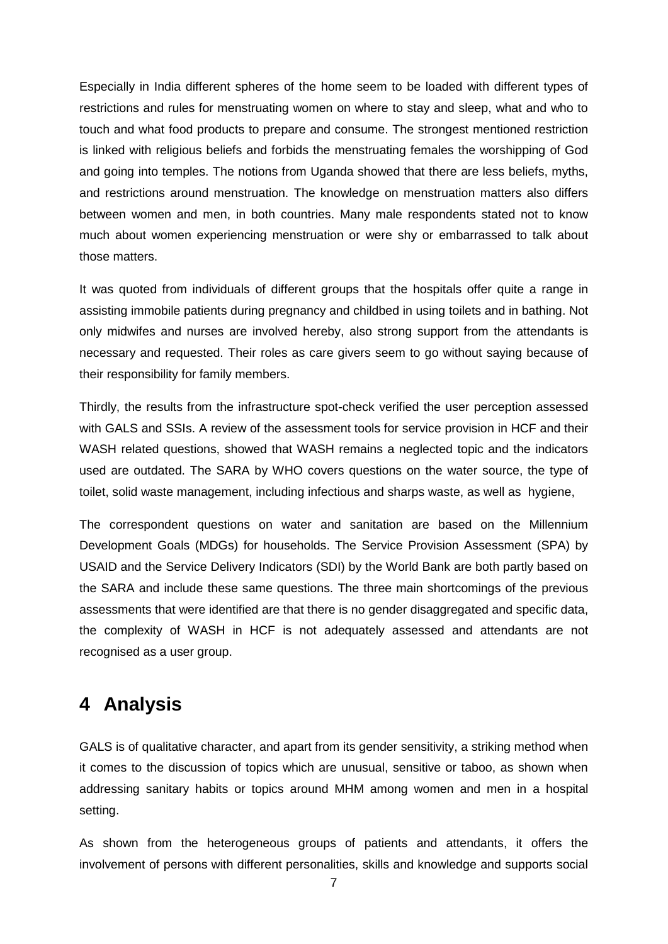Especially in India different spheres of the home seem to be loaded with different types of restrictions and rules for menstruating women on where to stay and sleep, what and who to touch and what food products to prepare and consume. The strongest mentioned restriction is linked with religious beliefs and forbids the menstruating females the worshipping of God and going into temples. The notions from Uganda showed that there are less beliefs, myths, and restrictions around menstruation. The knowledge on menstruation matters also differs between women and men, in both countries. Many male respondents stated not to know much about women experiencing menstruation or were shy or embarrassed to talk about those matters.

It was quoted from individuals of different groups that the hospitals offer quite a range in assisting immobile patients during pregnancy and childbed in using toilets and in bathing. Not only midwifes and nurses are involved hereby, also strong support from the attendants is necessary and requested. Their roles as care givers seem to go without saying because of their responsibility for family members.

Thirdly, the results from the infrastructure spot-check verified the user perception assessed with GALS and SSIs. A review of the assessment tools for service provision in HCF and their WASH related questions, showed that WASH remains a neglected topic and the indicators used are outdated. The SARA by WHO covers questions on the water source, the type of toilet, solid waste management, including infectious and sharps waste, as well as hygiene,

The correspondent questions on water and sanitation are based on the Millennium Development Goals (MDGs) for households. The Service Provision Assessment (SPA) by USAID and the Service Delivery Indicators (SDI) by the World Bank are both partly based on the SARA and include these same questions. The three main shortcomings of the previous assessments that were identified are that there is no gender disaggregated and specific data, the complexity of WASH in HCF is not adequately assessed and attendants are not recognised as a user group.

### **4 Analysis**

GALS is of qualitative character, and apart from its gender sensitivity, a striking method when it comes to the discussion of topics which are unusual, sensitive or taboo, as shown when addressing sanitary habits or topics around MHM among women and men in a hospital setting.

As shown from the heterogeneous groups of patients and attendants, it offers the involvement of persons with different personalities, skills and knowledge and supports social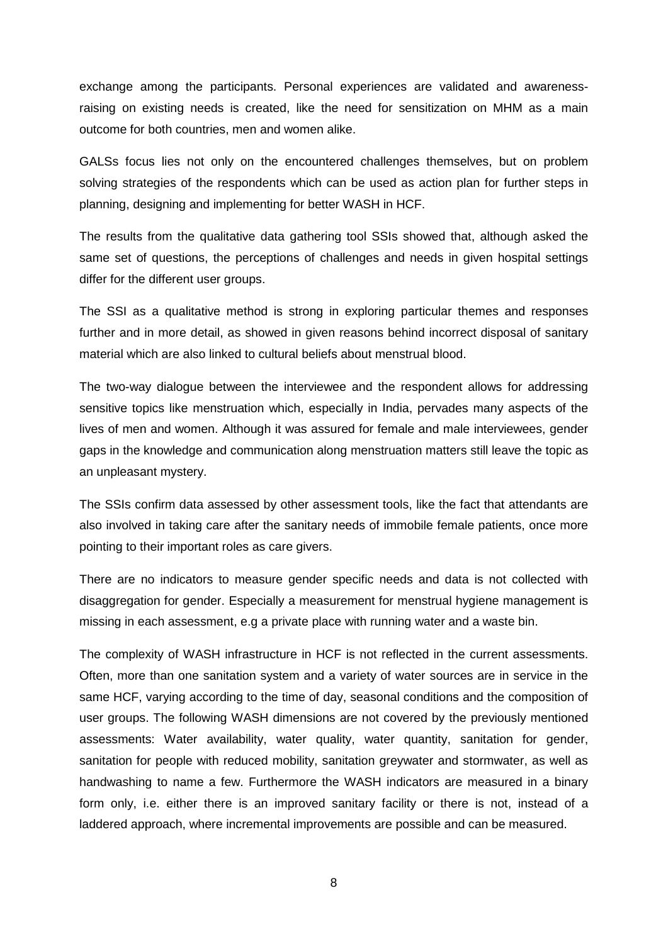exchange among the participants. Personal experiences are validated and awarenessraising on existing needs is created, like the need for sensitization on MHM as a main outcome for both countries, men and women alike.

GALSs focus lies not only on the encountered challenges themselves, but on problem solving strategies of the respondents which can be used as action plan for further steps in planning, designing and implementing for better WASH in HCF.

The results from the qualitative data gathering tool SSIs showed that, although asked the same set of questions, the perceptions of challenges and needs in given hospital settings differ for the different user groups.

The SSI as a qualitative method is strong in exploring particular themes and responses further and in more detail, as showed in given reasons behind incorrect disposal of sanitary material which are also linked to cultural beliefs about menstrual blood.

The two-way dialogue between the interviewee and the respondent allows for addressing sensitive topics like menstruation which, especially in India, pervades many aspects of the lives of men and women. Although it was assured for female and male interviewees, gender gaps in the knowledge and communication along menstruation matters still leave the topic as an unpleasant mystery.

The SSIs confirm data assessed by other assessment tools, like the fact that attendants are also involved in taking care after the sanitary needs of immobile female patients, once more pointing to their important roles as care givers.

There are no indicators to measure gender specific needs and data is not collected with disaggregation for gender. Especially a measurement for menstrual hygiene management is missing in each assessment, e.g a private place with running water and a waste bin.

The complexity of WASH infrastructure in HCF is not reflected in the current assessments. Often, more than one sanitation system and a variety of water sources are in service in the same HCF, varying according to the time of day, seasonal conditions and the composition of user groups. The following WASH dimensions are not covered by the previously mentioned assessments: Water availability, water quality, water quantity, sanitation for gender, sanitation for people with reduced mobility, sanitation greywater and stormwater, as well as handwashing to name a few. Furthermore the WASH indicators are measured in a binary form only, i.e. either there is an improved sanitary facility or there is not, instead of a laddered approach, where incremental improvements are possible and can be measured.

8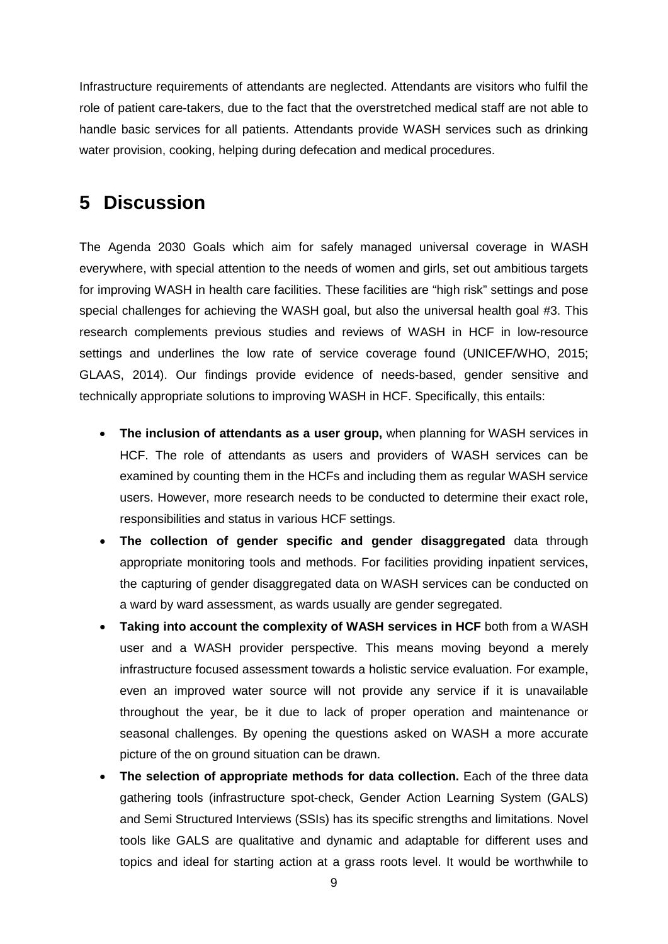Infrastructure requirements of attendants are neglected. Attendants are visitors who fulfil the role of patient care-takers, due to the fact that the overstretched medical staff are not able to handle basic services for all patients. Attendants provide WASH services such as drinking water provision, cooking, helping during defecation and medical procedures.

### **5 Discussion**

The Agenda 2030 Goals which aim for safely managed universal coverage in WASH everywhere, with special attention to the needs of women and girls, set out ambitious targets for improving WASH in health care facilities. These facilities are "high risk" settings and pose special challenges for achieving the WASH goal, but also the universal health goal #3. This research complements previous studies and reviews of WASH in HCF in low-resource settings and underlines the low rate of service coverage found (UNICEF/WHO, 2015; GLAAS, 2014). Our findings provide evidence of needs-based, gender sensitive and technically appropriate solutions to improving WASH in HCF. Specifically, this entails:

- **The inclusion of attendants as a user group,** when planning for WASH services in HCF. The role of attendants as users and providers of WASH services can be examined by counting them in the HCFs and including them as regular WASH service users. However, more research needs to be conducted to determine their exact role, responsibilities and status in various HCF settings.
- **The collection of gender specific and gender disaggregated** data through appropriate monitoring tools and methods. For facilities providing inpatient services, the capturing of gender disaggregated data on WASH services can be conducted on a ward by ward assessment, as wards usually are gender segregated.
- **Taking into account the complexity of WASH services in HCF** both from a WASH user and a WASH provider perspective. This means moving beyond a merely infrastructure focused assessment towards a holistic service evaluation. For example, even an improved water source will not provide any service if it is unavailable throughout the year, be it due to lack of proper operation and maintenance or seasonal challenges. By opening the questions asked on WASH a more accurate picture of the on ground situation can be drawn.
- **The selection of appropriate methods for data collection.** Each of the three data gathering tools (infrastructure spot-check, Gender Action Learning System (GALS) and Semi Structured Interviews (SSIs) has its specific strengths and limitations. Novel tools like GALS are qualitative and dynamic and adaptable for different uses and topics and ideal for starting action at a grass roots level. It would be worthwhile to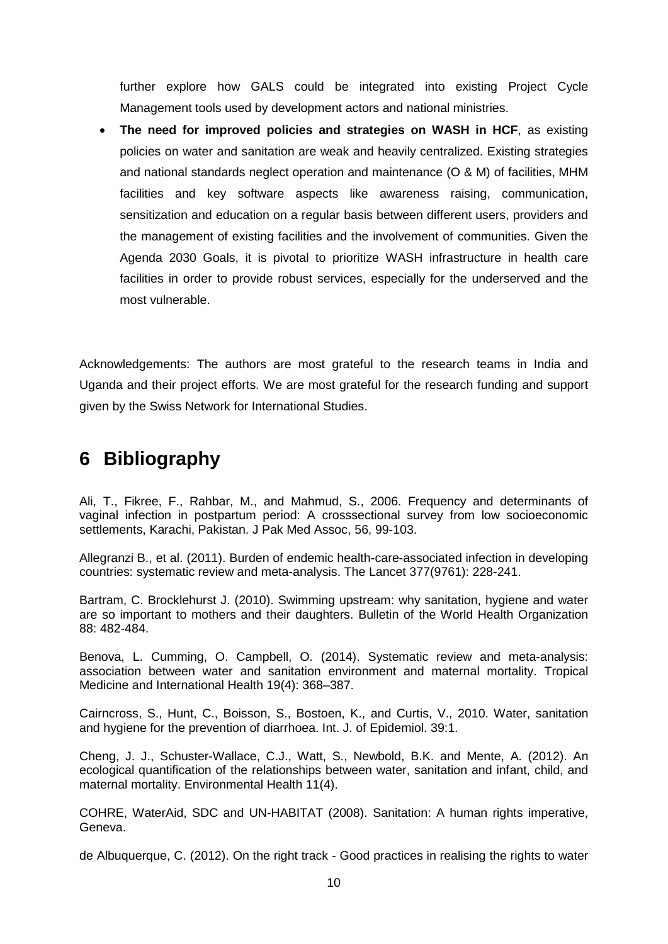further explore how GALS could be integrated into existing Project Cycle Management tools used by development actors and national ministries.

• **The need for improved policies and strategies on WASH in HCF**, as existing policies on water and sanitation are weak and heavily centralized. Existing strategies and national standards neglect operation and maintenance (O & M) of facilities, MHM facilities and key software aspects like awareness raising, communication, sensitization and education on a regular basis between different users, providers and the management of existing facilities and the involvement of communities. Given the Agenda 2030 Goals, it is pivotal to prioritize WASH infrastructure in health care facilities in order to provide robust services, especially for the underserved and the most vulnerable.

Acknowledgements: The authors are most grateful to the research teams in India and Uganda and their project efforts. We are most grateful for the research funding and support given by the Swiss Network for International Studies.

# **6 Bibliography**

Ali, T., Fikree, F., Rahbar, M., and Mahmud, S., 2006. Frequency and determinants of vaginal infection in postpartum period: A crosssectional survey from low socioeconomic settlements, Karachi, Pakistan. J Pak Med Assoc, 56, 99-103.

Allegranzi B., et al. (2011). Burden of endemic health-care-associated infection in developing countries: systematic review and meta-analysis. The Lancet 377(9761): 228-241.

Bartram, C. Brocklehurst J. (2010). Swimming upstream: why sanitation, hygiene and water are so important to mothers and their daughters. Bulletin of the World Health Organization 88: 482-484.

Benova, L. Cumming, O. Campbell, O. (2014). Systematic review and meta-analysis: association between water and sanitation environment and maternal mortality. Tropical Medicine and International Health 19(4): 368–387.

Cairncross, S., Hunt, C., Boisson, S., Bostoen, K., and Curtis, V., 2010. Water, sanitation and hygiene for the prevention of diarrhoea. Int. J. of Epidemiol. 39:1.

Cheng, J. J., Schuster-Wallace, C.J., Watt, S., Newbold, B.K. and Mente, A. (2012). An ecological quantification of the relationships between water, sanitation and infant, child, and maternal mortality. Environmental Health 11(4).

COHRE, WaterAid, SDC and UN-HABITAT (2008). Sanitation: A human rights imperative, Geneva.

de Albuquerque, C. (2012). On the right track - Good practices in realising the rights to water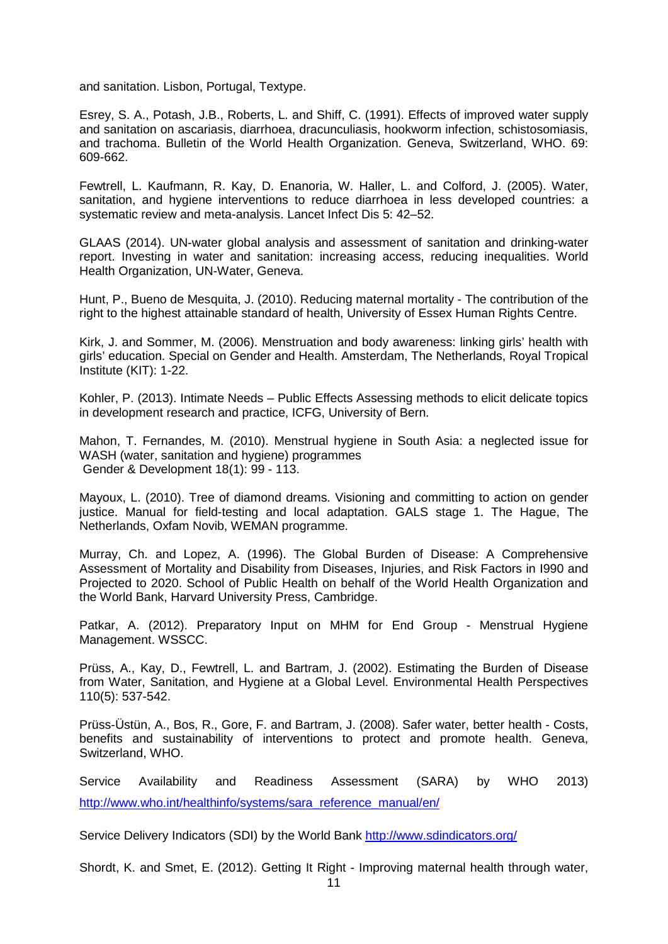and sanitation. Lisbon, Portugal, Textype.

Esrey, S. A., Potash, J.B., Roberts, L. and Shiff, C. (1991). Effects of improved water supply and sanitation on ascariasis, diarrhoea, dracunculiasis, hookworm infection, schistosomiasis, and trachoma. Bulletin of the World Health Organization. Geneva, Switzerland, WHO. 69: 609-662.

Fewtrell, L. Kaufmann, R. Kay, D. Enanoria, W. Haller, L. and Colford, J. (2005). Water, sanitation, and hygiene interventions to reduce diarrhoea in less developed countries: a systematic review and meta-analysis. Lancet Infect Dis 5: 42–52.

GLAAS (2014). UN-water global analysis and assessment of sanitation and drinking-water report. Investing in water and sanitation: increasing access, reducing inequalities. World Health Organization, UN-Water, Geneva.

Hunt, P., Bueno de Mesquita, J. (2010). Reducing maternal mortality - The contribution of the right to the highest attainable standard of health, University of Essex Human Rights Centre.

Kirk, J. and Sommer, M. (2006). Menstruation and body awareness: linking girls' health with girls' education. Special on Gender and Health. Amsterdam, The Netherlands, Royal Tropical Institute (KIT): 1-22.

Kohler, P. (2013). Intimate Needs – Public Effects Assessing methods to elicit delicate topics in development research and practice, ICFG, University of Bern.

Mahon, T. Fernandes, M. (2010). Menstrual hygiene in South Asia: a neglected issue for WASH (water, sanitation and hygiene) programmes Gender & Development 18(1): 99 - 113.

Mayoux, L. (2010). Tree of diamond dreams. Visioning and committing to action on gender justice. Manual for field-testing and local adaptation. GALS stage 1. The Hague, The Netherlands, Oxfam Novib, WEMAN programme.

Murray, Ch. and Lopez, A. (1996). The Global Burden of Disease: A Comprehensive Assessment of Mortality and Disability from Diseases, Injuries, and Risk Factors in I990 and Projected to 2020. School of Public Health on behalf of the World Health Organization and the World Bank, Harvard University Press, Cambridge.

Patkar, A. (2012). Preparatory Input on MHM for End Group - Menstrual Hygiene Management. WSSCC.

Prüss, A., Kay, D., Fewtrell, L. and Bartram, J. (2002). Estimating the Burden of Disease from Water, Sanitation, and Hygiene at a Global Level. Environmental Health Perspectives 110(5): 537-542.

Prüss-Üstün, A., Bos, R., Gore, F. and Bartram, J. (2008). Safer water, better health - Costs, benefits and sustainability of interventions to protect and promote health. Geneva, Switzerland, WHO.

Service Availability and Readiness Assessment (SARA) by WHO 2013) [http://www.who.int/healthinfo/systems/sara\\_reference\\_manual/en/](http://www.who.int/healthinfo/systems/sara_reference_manual/en/)

Service Delivery Indicators (SDI) by the World Bank <http://www.sdindicators.org/>

Shordt, K. and Smet, E. (2012). Getting It Right - Improving maternal health through water.